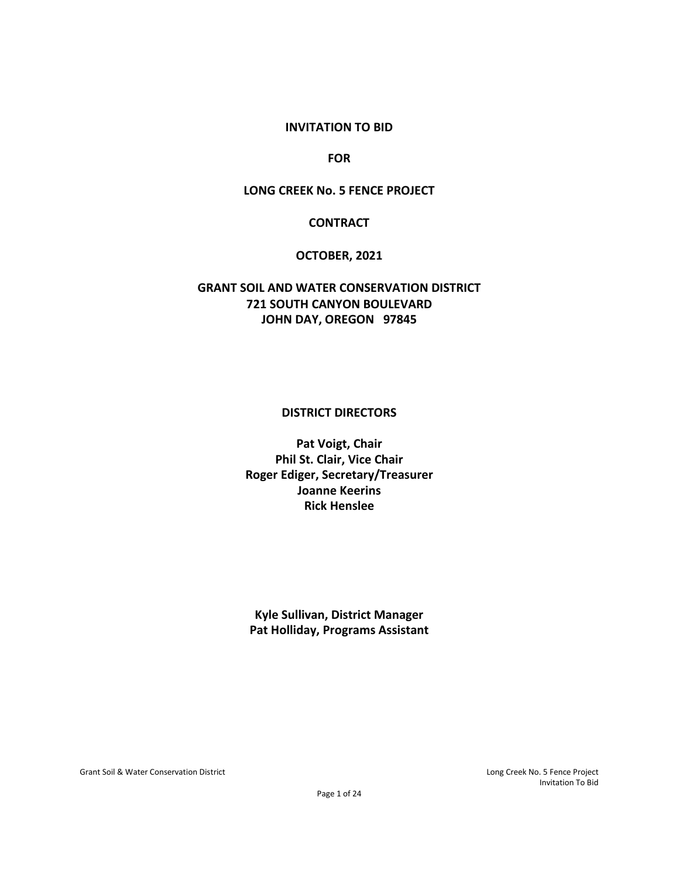#### **INVITATION TO BID**

**FOR**

#### **LONG CREEK No. 5 FENCE PROJECT**

#### **CONTRACT**

#### **OCTOBER, 2021**

## **GRANT SOIL AND WATER CONSERVATION DISTRICT 721 SOUTH CANYON BOULEVARD JOHN DAY, OREGON 97845**

#### **DISTRICT DIRECTORS**

**Pat Voigt, Chair Phil St. Clair, Vice Chair Roger Ediger, Secretary/Treasurer Joanne Keerins Rick Henslee**

**Kyle Sullivan, District Manager Pat Holliday, Programs Assistant**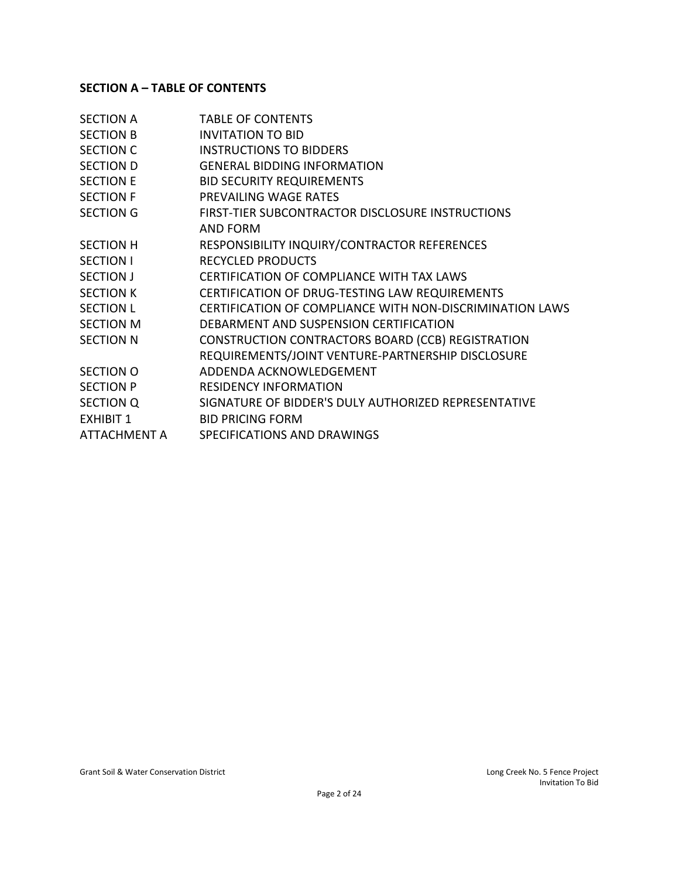# **SECTION A – TABLE OF CONTENTS**

| <b>TABLE OF CONTENTS</b>                                 |
|----------------------------------------------------------|
| <b>INVITATION TO BID</b>                                 |
| <b>INSTRUCTIONS TO BIDDERS</b>                           |
| <b>GENERAL BIDDING INFORMATION</b>                       |
| <b>BID SECURITY REQUIREMENTS</b>                         |
| PREVAILING WAGE RATES                                    |
| FIRST-TIER SUBCONTRACTOR DISCLOSURE INSTRUCTIONS         |
| AND FORM                                                 |
| RESPONSIBILITY INQUIRY/CONTRACTOR REFERENCES             |
| <b>RECYCLED PRODUCTS</b>                                 |
| <b>CERTIFICATION OF COMPLIANCE WITH TAX LAWS</b>         |
| CERTIFICATION OF DRUG-TESTING LAW REQUIREMENTS           |
| CERTIFICATION OF COMPLIANCE WITH NON-DISCRIMINATION LAWS |
| DEBARMENT AND SUSPENSION CERTIFICATION                   |
| CONSTRUCTION CONTRACTORS BOARD (CCB) REGISTRATION        |
| REQUIREMENTS/JOINT VENTURE-PARTNERSHIP DISCLOSURE        |
| ADDENDA ACKNOWLEDGEMENT                                  |
| <b>RESIDENCY INFORMATION</b>                             |
| SIGNATURE OF BIDDER'S DULY AUTHORIZED REPRESENTATIVE     |
| <b>BID PRICING FORM</b>                                  |
| SPECIFICATIONS AND DRAWINGS                              |
|                                                          |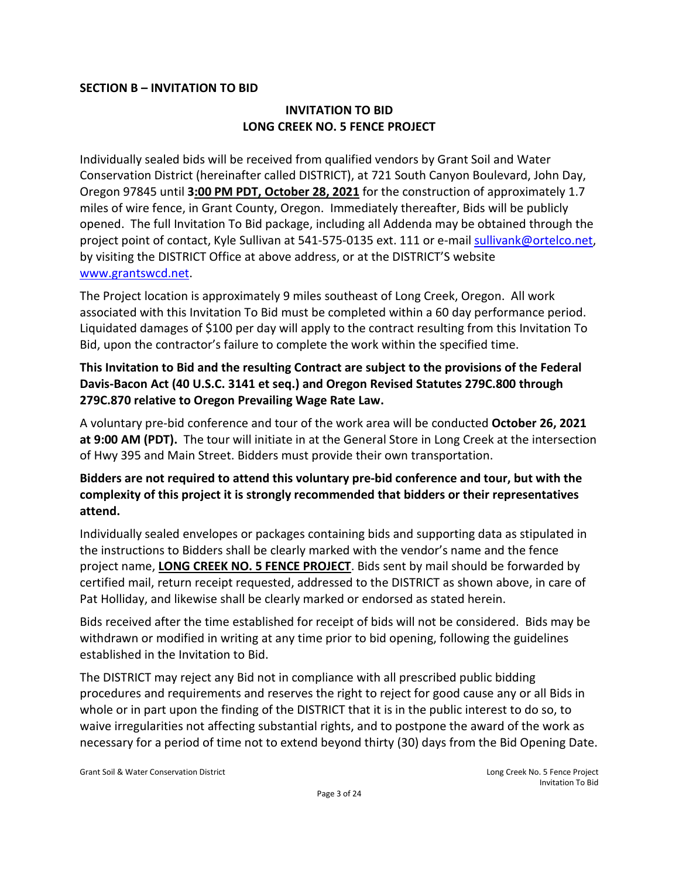#### **SECTION B – INVITATION TO BID**

## **INVITATION TO BID LONG CREEK NO. 5 FENCE PROJECT**

Individually sealed bids will be received from qualified vendors by Grant Soil and Water Conservation District (hereinafter called DISTRICT), at 721 South Canyon Boulevard, John Day, Oregon 97845 until **3:00 PM PDT, October 28, 2021** for the construction of approximately 1.7 miles of wire fence, in Grant County, Oregon. Immediately thereafter, Bids will be publicly opened. The full Invitation To Bid package, including all Addenda may be obtained through the project point of contact, Kyle Sullivan at 541-575-0135 ext. 111 or e-mail [sullivank@ortelco.net,](mailto:sullivank@ortelco.net) by visiting the DISTRICT Office at above address, or at the DISTRICT'S website [www.grantswcd.net.](http://www.grantswcd.net/)

The Project location is approximately 9 miles southeast of Long Creek, Oregon. All work associated with this Invitation To Bid must be completed within a 60 day performance period. Liquidated damages of \$100 per day will apply to the contract resulting from this Invitation To Bid, upon the contractor's failure to complete the work within the specified time.

# **This Invitation to Bid and the resulting Contract are subject to the provisions of the Federal Davis-Bacon Act (40 U.S.C. 3141 et seq.) and Oregon Revised Statutes 279C.800 through 279C.870 relative to Oregon Prevailing Wage Rate Law.**

A voluntary pre-bid conference and tour of the work area will be conducted **October 26, 2021 at 9:00 AM (PDT).** The tour will initiate in at the General Store in Long Creek at the intersection of Hwy 395 and Main Street. Bidders must provide their own transportation.

# **Bidders are not required to attend this voluntary pre-bid conference and tour, but with the complexity of this project it is strongly recommended that bidders or their representatives attend.**

Individually sealed envelopes or packages containing bids and supporting data as stipulated in the instructions to Bidders shall be clearly marked with the vendor's name and the fence project name, **LONG CREEK NO. 5 FENCE PROJECT**. Bids sent by mail should be forwarded by certified mail, return receipt requested, addressed to the DISTRICT as shown above, in care of Pat Holliday, and likewise shall be clearly marked or endorsed as stated herein.

Bids received after the time established for receipt of bids will not be considered. Bids may be withdrawn or modified in writing at any time prior to bid opening, following the guidelines established in the Invitation to Bid.

The DISTRICT may reject any Bid not in compliance with all prescribed public bidding procedures and requirements and reserves the right to reject for good cause any or all Bids in whole or in part upon the finding of the DISTRICT that it is in the public interest to do so, to waive irregularities not affecting substantial rights, and to postpone the award of the work as necessary for a period of time not to extend beyond thirty (30) days from the Bid Opening Date.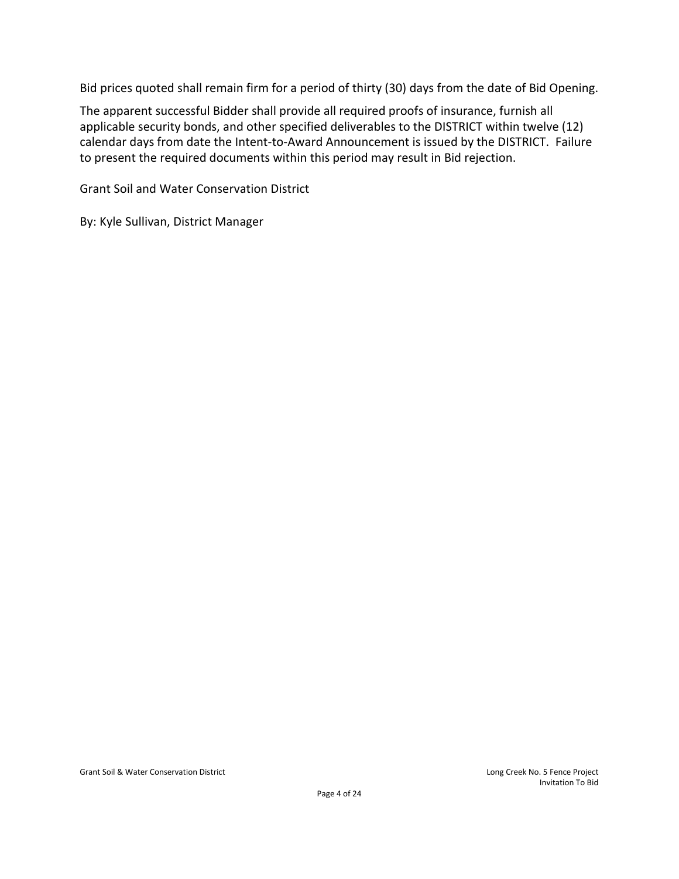Bid prices quoted shall remain firm for a period of thirty (30) days from the date of Bid Opening.

The apparent successful Bidder shall provide all required proofs of insurance, furnish all applicable security bonds, and other specified deliverables to the DISTRICT within twelve (12) calendar days from date the Intent-to-Award Announcement is issued by the DISTRICT. Failure to present the required documents within this period may result in Bid rejection.

Grant Soil and Water Conservation District

By: Kyle Sullivan, District Manager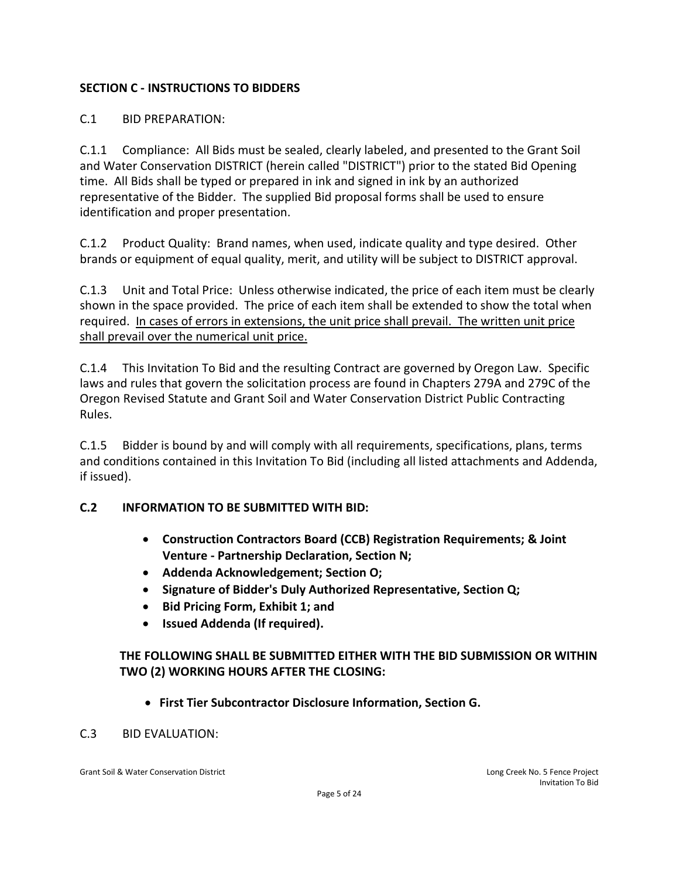# **SECTION C - INSTRUCTIONS TO BIDDERS**

# C.1 BID PREPARATION:

C.1.1 Compliance: All Bids must be sealed, clearly labeled, and presented to the Grant Soil and Water Conservation DISTRICT (herein called "DISTRICT") prior to the stated Bid Opening time. All Bids shall be typed or prepared in ink and signed in ink by an authorized representative of the Bidder. The supplied Bid proposal forms shall be used to ensure identification and proper presentation.

C.1.2 Product Quality: Brand names, when used, indicate quality and type desired. Other brands or equipment of equal quality, merit, and utility will be subject to DISTRICT approval.

C.1.3 Unit and Total Price: Unless otherwise indicated, the price of each item must be clearly shown in the space provided. The price of each item shall be extended to show the total when required. In cases of errors in extensions, the unit price shall prevail. The written unit price shall prevail over the numerical unit price.

C.1.4 This Invitation To Bid and the resulting Contract are governed by Oregon Law. Specific laws and rules that govern the solicitation process are found in Chapters 279A and 279C of the Oregon Revised Statute and Grant Soil and Water Conservation District Public Contracting Rules.

C.1.5 Bidder is bound by and will comply with all requirements, specifications, plans, terms and conditions contained in this Invitation To Bid (including all listed attachments and Addenda, if issued).

## **C.2 INFORMATION TO BE SUBMITTED WITH BID:**

- **Construction Contractors Board (CCB) Registration Requirements; & Joint Venture - Partnership Declaration, Section N;**
- **Addenda Acknowledgement; Section O;**
- **Signature of Bidder's Duly Authorized Representative, Section Q;**
- **Bid Pricing Form, Exhibit 1; and**
- **Issued Addenda (If required).**

## **THE FOLLOWING SHALL BE SUBMITTED EITHER WITH THE BID SUBMISSION OR WITHIN TWO (2) WORKING HOURS AFTER THE CLOSING:**

• **First Tier Subcontractor Disclosure Information, Section G.**

#### C.3 BID EVALUATION: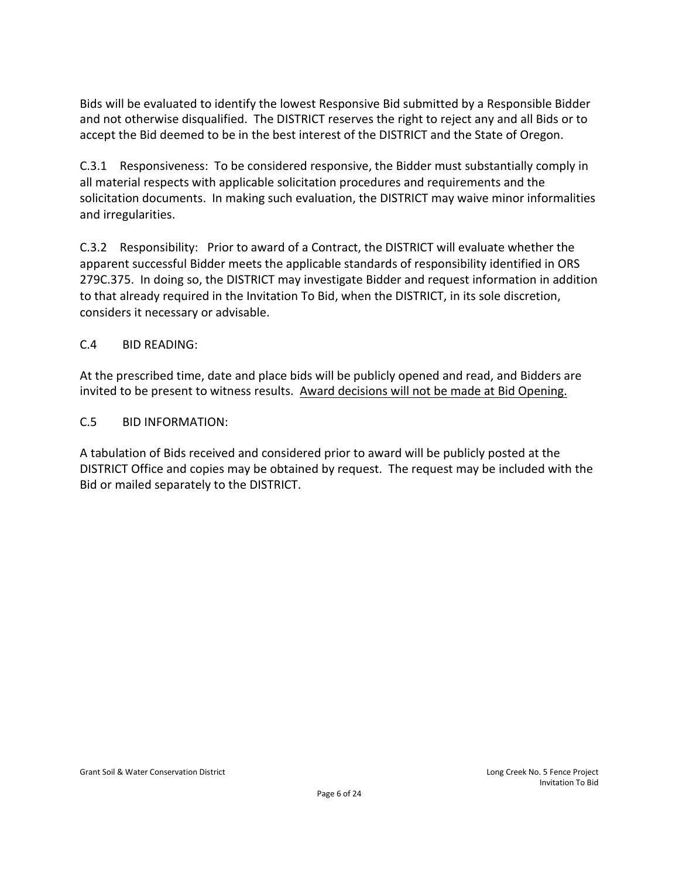Bids will be evaluated to identify the lowest Responsive Bid submitted by a Responsible Bidder and not otherwise disqualified. The DISTRICT reserves the right to reject any and all Bids or to accept the Bid deemed to be in the best interest of the DISTRICT and the State of Oregon.

C.3.1 Responsiveness: To be considered responsive, the Bidder must substantially comply in all material respects with applicable solicitation procedures and requirements and the solicitation documents. In making such evaluation, the DISTRICT may waive minor informalities and irregularities.

C.3.2 Responsibility: Prior to award of a Contract, the DISTRICT will evaluate whether the apparent successful Bidder meets the applicable standards of responsibility identified in ORS 279C.375. In doing so, the DISTRICT may investigate Bidder and request information in addition to that already required in the Invitation To Bid, when the DISTRICT, in its sole discretion, considers it necessary or advisable.

## C.4 BID READING:

At the prescribed time, date and place bids will be publicly opened and read, and Bidders are invited to be present to witness results. Award decisions will not be made at Bid Opening.

# C.5 BID INFORMATION:

A tabulation of Bids received and considered prior to award will be publicly posted at the DISTRICT Office and copies may be obtained by request. The request may be included with the Bid or mailed separately to the DISTRICT.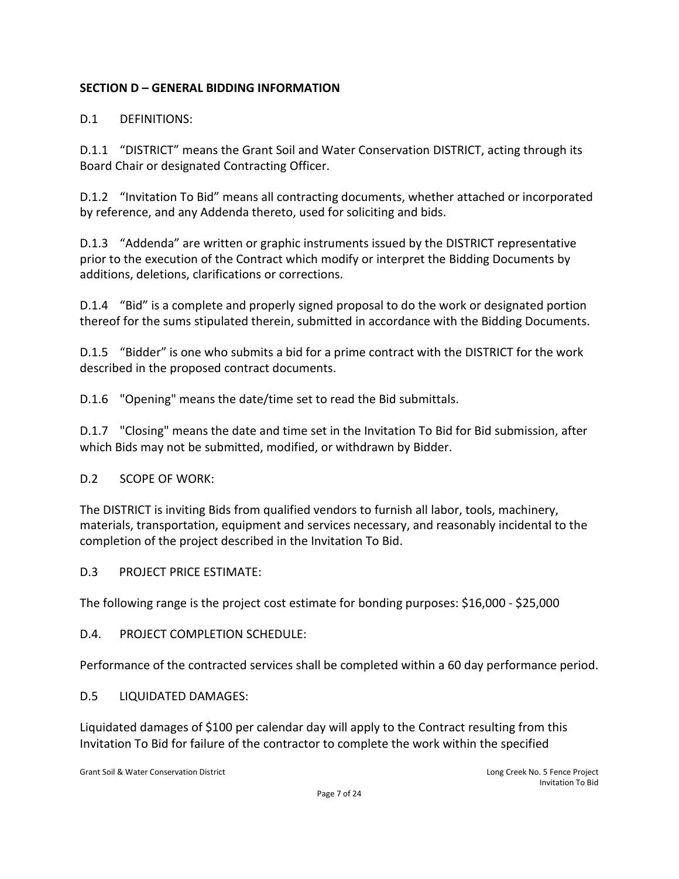# **SECTION D – GENERAL BIDDING INFORMATION**

# D.1 DEFINITIONS:

D.1.1 "DISTRICT" means the Grant Soil and Water Conservation DISTRICT, acting through its Board Chair or designated Contracting Officer.

D.1.2 "Invitation To Bid" means all contracting documents, whether attached or incorporated by reference, and any Addenda thereto, used for soliciting and bids.

D.1.3 "Addenda" are written or graphic instruments issued by the DISTRICT representative prior to the execution of the Contract which modify or interpret the Bidding Documents by additions, deletions, clarifications or corrections.

D.1.4 "Bid" is a complete and properly signed proposal to do the work or designated portion thereof for the sums stipulated therein, submitted in accordance with the Bidding Documents.

D.1.5 "Bidder" is one who submits a bid for a prime contract with the DISTRICT for the work described in the proposed contract documents.

D.1.6 "Opening" means the date/time set to read the Bid submittals.

D.1.7 "Closing" means the date and time set in the Invitation To Bid for Bid submission, after which Bids may not be submitted, modified, or withdrawn by Bidder.

D.2 SCOPE OF WORK:

The DISTRICT is inviting Bids from qualified vendors to furnish all labor, tools, machinery, materials, transportation, equipment and services necessary, and reasonably incidental to the completion of the project described in the Invitation To Bid.

D.3 PROJECT PRICE ESTIMATE:

The following range is the project cost estimate for bonding purposes: \$16,000 - \$25,000

D.4. PROJECT COMPLETION SCHEDULE:

Performance of the contracted services shall be completed within a 60 day performance period.

D.5 LIQUIDATED DAMAGES:

Liquidated damages of \$100 per calendar day will apply to the Contract resulting from this Invitation To Bid for failure of the contractor to complete the work within the specified

Grant Soil & Water Conservation District **Long Creek Inc.** Conservation District Long Creek No. 5 Fence Project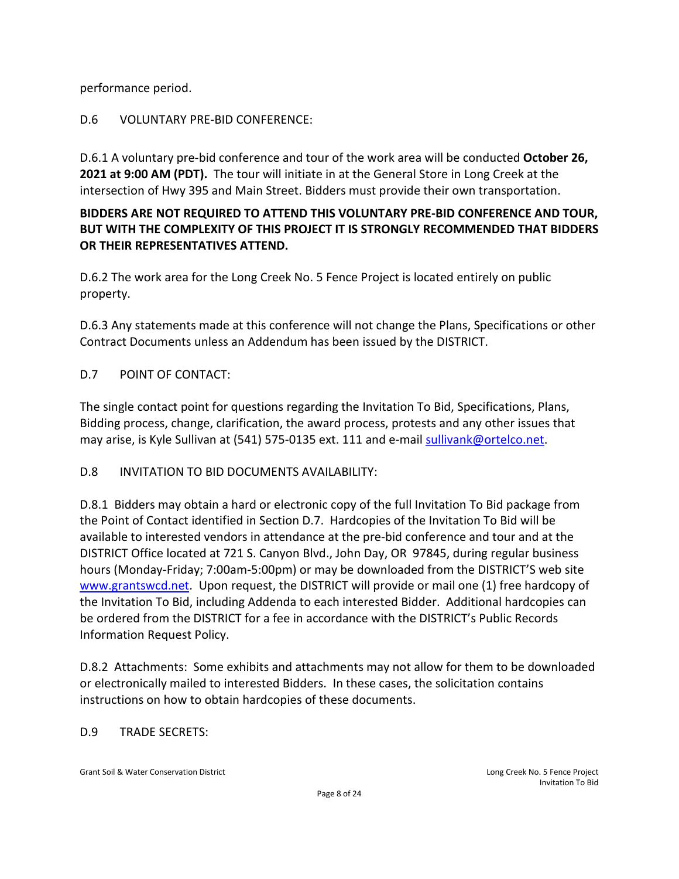performance period.

# D.6 VOLUNTARY PRE-BID CONFERENCE:

D.6.1 A voluntary pre-bid conference and tour of the work area will be conducted **October 26, 2021 at 9:00 AM (PDT).** The tour will initiate in at the General Store in Long Creek at the intersection of Hwy 395 and Main Street. Bidders must provide their own transportation.

# **BIDDERS ARE NOT REQUIRED TO ATTEND THIS VOLUNTARY PRE-BID CONFERENCE AND TOUR, BUT WITH THE COMPLEXITY OF THIS PROJECT IT IS STRONGLY RECOMMENDED THAT BIDDERS OR THEIR REPRESENTATIVES ATTEND.**

D.6.2 The work area for the Long Creek No. 5 Fence Project is located entirely on public property.

D.6.3 Any statements made at this conference will not change the Plans, Specifications or other Contract Documents unless an Addendum has been issued by the DISTRICT.

# D.7 POINT OF CONTACT:

The single contact point for questions regarding the Invitation To Bid, Specifications, Plans, Bidding process, change, clarification, the award process, protests and any other issues that may arise, is Kyle Sullivan at (541) 575-0135 ext. 111 and e-mail [sullivank@ortelco.net.](mailto:sullivank@ortelco.net)

## D.8 INVITATION TO BID DOCUMENTS AVAILABILITY:

D.8.1 Bidders may obtain a hard or electronic copy of the full Invitation To Bid package from the Point of Contact identified in Section D.7. Hardcopies of the Invitation To Bid will be available to interested vendors in attendance at the pre-bid conference and tour and at the DISTRICT Office located at 721 S. Canyon Blvd., John Day, OR 97845, during regular business hours (Monday-Friday; 7:00am-5:00pm) or may be downloaded from the DISTRICT'S web site [www.grantswcd.net.](http://www.grantswcd.net/) Upon request, the DISTRICT will provide or mail one (1) free hardcopy of the Invitation To Bid, including Addenda to each interested Bidder. Additional hardcopies can be ordered from the DISTRICT for a fee in accordance with the DISTRICT's Public Records Information Request Policy.

D.8.2 Attachments: Some exhibits and attachments may not allow for them to be downloaded or electronically mailed to interested Bidders. In these cases, the solicitation contains instructions on how to obtain hardcopies of these documents.

## D.9 TRADE SECRETS: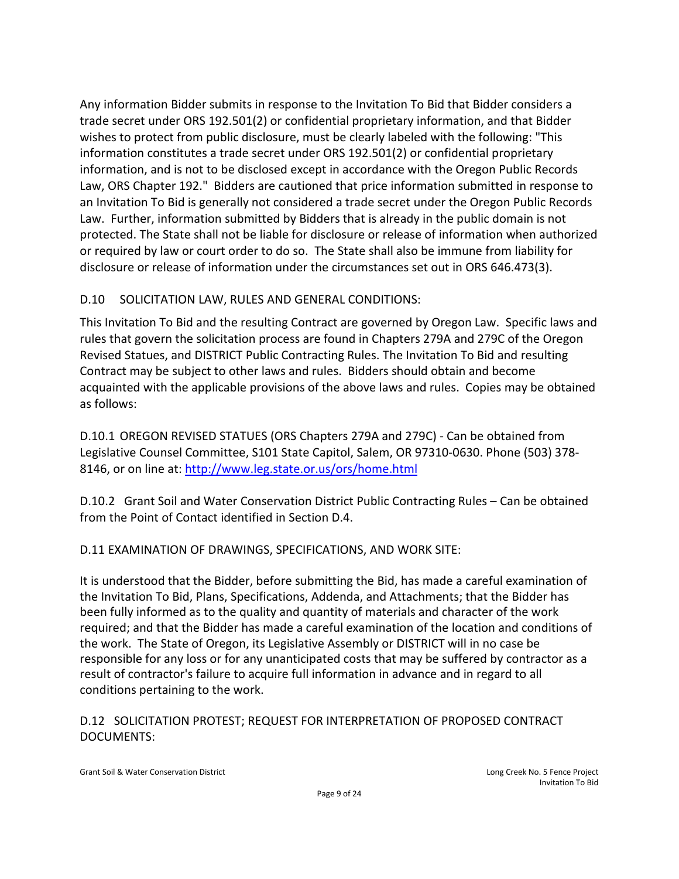Any information Bidder submits in response to the Invitation To Bid that Bidder considers a trade secret under ORS 192.501(2) or confidential proprietary information, and that Bidder wishes to protect from public disclosure, must be clearly labeled with the following: "This information constitutes a trade secret under ORS 192.501(2) or confidential proprietary information, and is not to be disclosed except in accordance with the Oregon Public Records Law, ORS Chapter 192." Bidders are cautioned that price information submitted in response to an Invitation To Bid is generally not considered a trade secret under the Oregon Public Records Law. Further, information submitted by Bidders that is already in the public domain is not protected. The State shall not be liable for disclosure or release of information when authorized or required by law or court order to do so. The State shall also be immune from liability for disclosure or release of information under the circumstances set out in ORS 646.473(3).

# D.10 SOLICITATION LAW, RULES AND GENERAL CONDITIONS:

This Invitation To Bid and the resulting Contract are governed by Oregon Law. Specific laws and rules that govern the solicitation process are found in Chapters 279A and 279C of the Oregon Revised Statues, and DISTRICT Public Contracting Rules. The Invitation To Bid and resulting Contract may be subject to other laws and rules. Bidders should obtain and become acquainted with the applicable provisions of the above laws and rules. Copies may be obtained as follows:

D.10.1 OREGON REVISED STATUES (ORS Chapters 279A and 279C) - Can be obtained from Legislative Counsel Committee, S101 State Capitol, Salem, OR 97310-0630. Phone (503) 378- 8146, or on line at:<http://www.leg.state.or.us/ors/home.html>

D.10.2 Grant Soil and Water Conservation District Public Contracting Rules – Can be obtained from the Point of Contact identified in Section D.4.

D.11 EXAMINATION OF DRAWINGS, SPECIFICATIONS, AND WORK SITE:

It is understood that the Bidder, before submitting the Bid, has made a careful examination of the Invitation To Bid, Plans, Specifications, Addenda, and Attachments; that the Bidder has been fully informed as to the quality and quantity of materials and character of the work required; and that the Bidder has made a careful examination of the location and conditions of the work. The State of Oregon, its Legislative Assembly or DISTRICT will in no case be responsible for any loss or for any unanticipated costs that may be suffered by contractor as a result of contractor's failure to acquire full information in advance and in regard to all conditions pertaining to the work.

# D.12 SOLICITATION PROTEST; REQUEST FOR INTERPRETATION OF PROPOSED CONTRACT DOCUMENTS: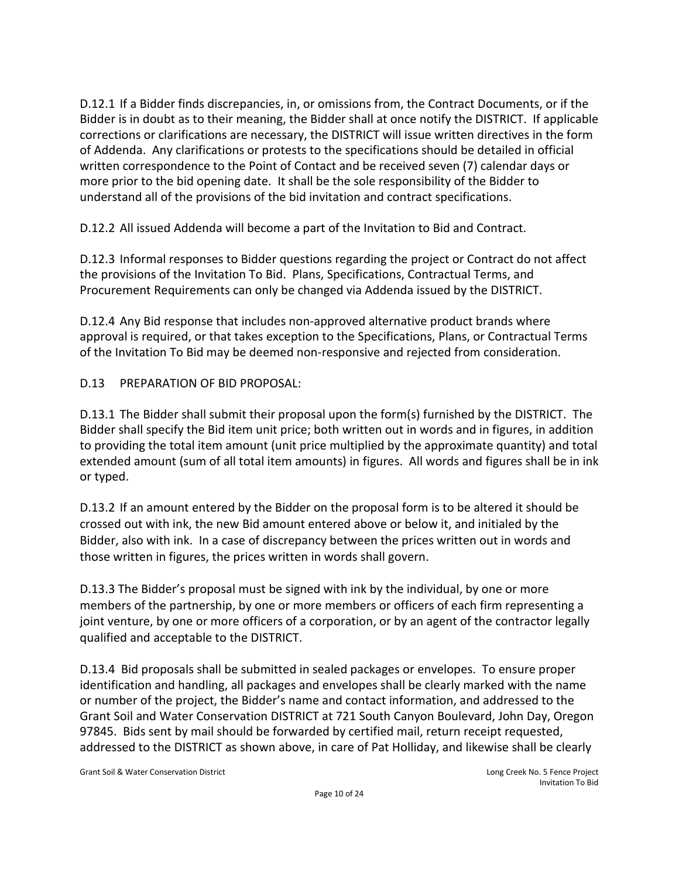D.12.1 If a Bidder finds discrepancies, in, or omissions from, the Contract Documents, or if the Bidder is in doubt as to their meaning, the Bidder shall at once notify the DISTRICT. If applicable corrections or clarifications are necessary, the DISTRICT will issue written directives in the form of Addenda. Any clarifications or protests to the specifications should be detailed in official written correspondence to the Point of Contact and be received seven (7) calendar days or more prior to the bid opening date. It shall be the sole responsibility of the Bidder to understand all of the provisions of the bid invitation and contract specifications.

D.12.2 All issued Addenda will become a part of the Invitation to Bid and Contract.

D.12.3 Informal responses to Bidder questions regarding the project or Contract do not affect the provisions of the Invitation To Bid. Plans, Specifications, Contractual Terms, and Procurement Requirements can only be changed via Addenda issued by the DISTRICT.

D.12.4 Any Bid response that includes non-approved alternative product brands where approval is required, or that takes exception to the Specifications, Plans, or Contractual Terms of the Invitation To Bid may be deemed non-responsive and rejected from consideration.

D.13 PREPARATION OF BID PROPOSAL:

D.13.1 The Bidder shall submit their proposal upon the form(s) furnished by the DISTRICT. The Bidder shall specify the Bid item unit price; both written out in words and in figures, in addition to providing the total item amount (unit price multiplied by the approximate quantity) and total extended amount (sum of all total item amounts) in figures. All words and figures shall be in ink or typed.

D.13.2 If an amount entered by the Bidder on the proposal form is to be altered it should be crossed out with ink, the new Bid amount entered above or below it, and initialed by the Bidder, also with ink. In a case of discrepancy between the prices written out in words and those written in figures, the prices written in words shall govern.

D.13.3 The Bidder's proposal must be signed with ink by the individual, by one or more members of the partnership, by one or more members or officers of each firm representing a joint venture, by one or more officers of a corporation, or by an agent of the contractor legally qualified and acceptable to the DISTRICT.

D.13.4 Bid proposals shall be submitted in sealed packages or envelopes. To ensure proper identification and handling, all packages and envelopes shall be clearly marked with the name or number of the project, the Bidder's name and contact information, and addressed to the Grant Soil and Water Conservation DISTRICT at 721 South Canyon Boulevard, John Day, Oregon 97845. Bids sent by mail should be forwarded by certified mail, return receipt requested, addressed to the DISTRICT as shown above, in care of Pat Holliday, and likewise shall be clearly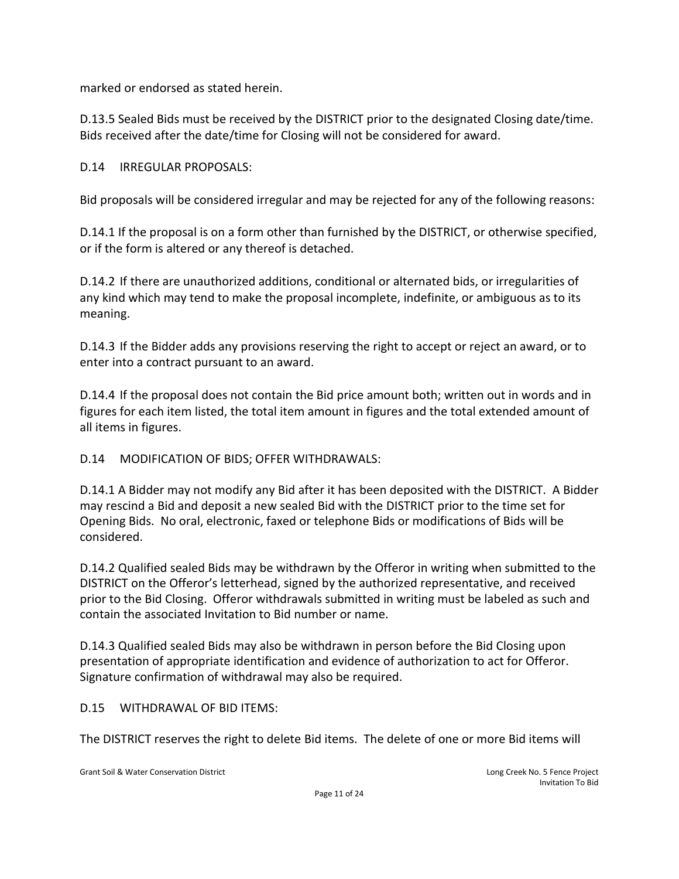marked or endorsed as stated herein.

D.13.5 Sealed Bids must be received by the DISTRICT prior to the designated Closing date/time. Bids received after the date/time for Closing will not be considered for award.

#### D.14 IRREGULAR PROPOSALS:

Bid proposals will be considered irregular and may be rejected for any of the following reasons:

D.14.1 If the proposal is on a form other than furnished by the DISTRICT, or otherwise specified, or if the form is altered or any thereof is detached.

D.14.2 If there are unauthorized additions, conditional or alternated bids, or irregularities of any kind which may tend to make the proposal incomplete, indefinite, or ambiguous as to its meaning.

D.14.3 If the Bidder adds any provisions reserving the right to accept or reject an award, or to enter into a contract pursuant to an award.

D.14.4 If the proposal does not contain the Bid price amount both; written out in words and in figures for each item listed, the total item amount in figures and the total extended amount of all items in figures.

D.14 MODIFICATION OF BIDS; OFFER WITHDRAWALS:

D.14.1 A Bidder may not modify any Bid after it has been deposited with the DISTRICT. A Bidder may rescind a Bid and deposit a new sealed Bid with the DISTRICT prior to the time set for Opening Bids. No oral, electronic, faxed or telephone Bids or modifications of Bids will be considered.

D.14.2 Qualified sealed Bids may be withdrawn by the Offeror in writing when submitted to the DISTRICT on the Offeror's letterhead, signed by the authorized representative, and received prior to the Bid Closing. Offeror withdrawals submitted in writing must be labeled as such and contain the associated Invitation to Bid number or name.

D.14.3 Qualified sealed Bids may also be withdrawn in person before the Bid Closing upon presentation of appropriate identification and evidence of authorization to act for Offeror. Signature confirmation of withdrawal may also be required.

D.15 WITHDRAWAL OF BID ITEMS:

The DISTRICT reserves the right to delete Bid items. The delete of one or more Bid items will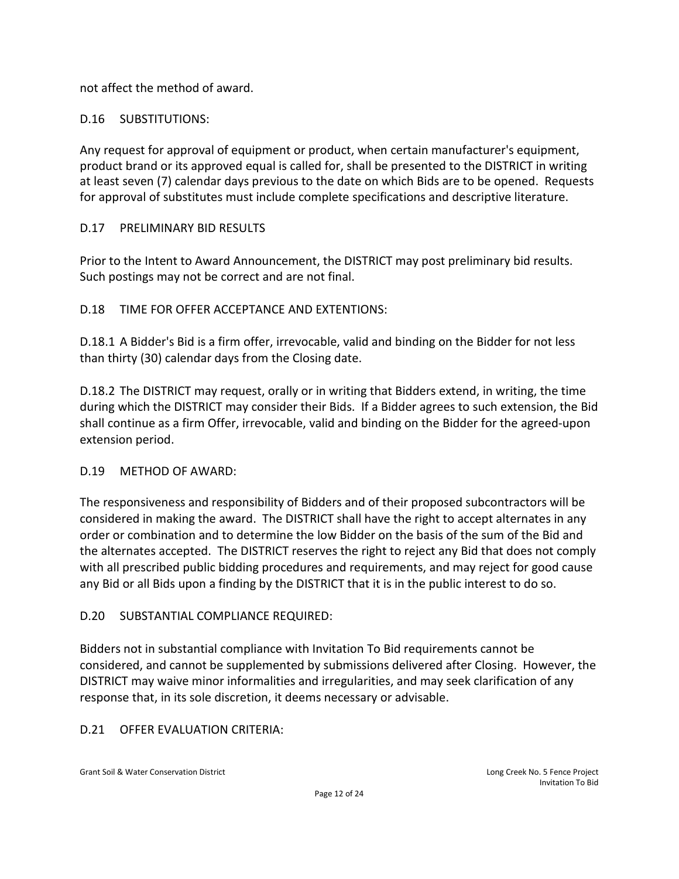not affect the method of award.

# D.16 SUBSTITUTIONS:

Any request for approval of equipment or product, when certain manufacturer's equipment, product brand or its approved equal is called for, shall be presented to the DISTRICT in writing at least seven (7) calendar days previous to the date on which Bids are to be opened. Requests for approval of substitutes must include complete specifications and descriptive literature.

# D.17 PRELIMINARY BID RESULTS

Prior to the Intent to Award Announcement, the DISTRICT may post preliminary bid results. Such postings may not be correct and are not final.

# D.18 TIME FOR OFFER ACCEPTANCE AND EXTENTIONS:

D.18.1 A Bidder's Bid is a firm offer, irrevocable, valid and binding on the Bidder for not less than thirty (30) calendar days from the Closing date.

D.18.2 The DISTRICT may request, orally or in writing that Bidders extend, in writing, the time during which the DISTRICT may consider their Bids. If a Bidder agrees to such extension, the Bid shall continue as a firm Offer, irrevocable, valid and binding on the Bidder for the agreed-upon extension period.

## D.19 METHOD OF AWARD:

The responsiveness and responsibility of Bidders and of their proposed subcontractors will be considered in making the award. The DISTRICT shall have the right to accept alternates in any order or combination and to determine the low Bidder on the basis of the sum of the Bid and the alternates accepted. The DISTRICT reserves the right to reject any Bid that does not comply with all prescribed public bidding procedures and requirements, and may reject for good cause any Bid or all Bids upon a finding by the DISTRICT that it is in the public interest to do so.

## D.20 SUBSTANTIAL COMPLIANCE REQUIRED:

Bidders not in substantial compliance with Invitation To Bid requirements cannot be considered, and cannot be supplemented by submissions delivered after Closing. However, the DISTRICT may waive minor informalities and irregularities, and may seek clarification of any response that, in its sole discretion, it deems necessary or advisable.

## D.21 OFFER EVALUATION CRITERIA: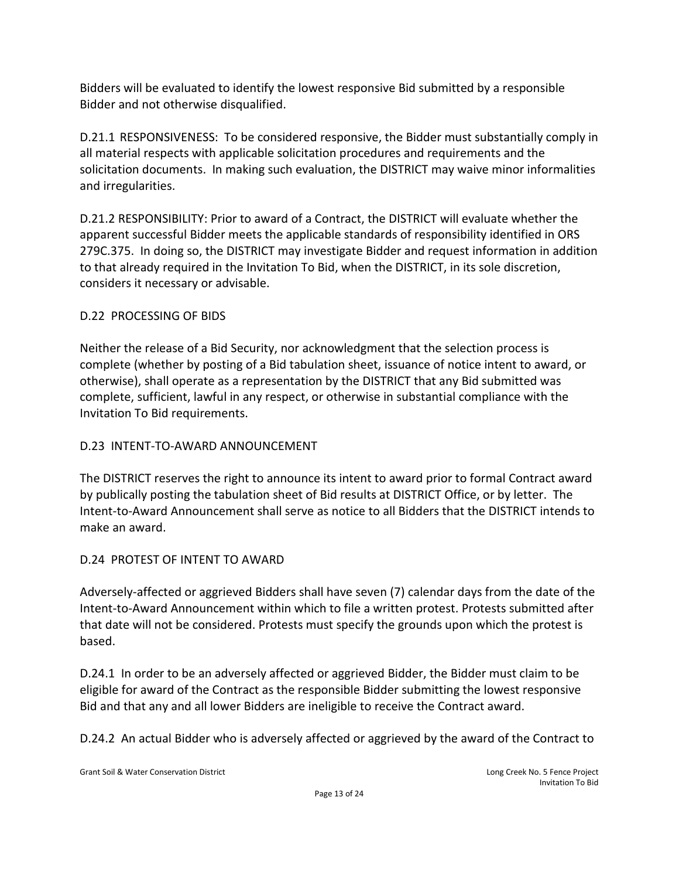Bidders will be evaluated to identify the lowest responsive Bid submitted by a responsible Bidder and not otherwise disqualified.

D.21.1 RESPONSIVENESS: To be considered responsive, the Bidder must substantially comply in all material respects with applicable solicitation procedures and requirements and the solicitation documents. In making such evaluation, the DISTRICT may waive minor informalities and irregularities.

D.21.2 RESPONSIBILITY: Prior to award of a Contract, the DISTRICT will evaluate whether the apparent successful Bidder meets the applicable standards of responsibility identified in ORS 279C.375. In doing so, the DISTRICT may investigate Bidder and request information in addition to that already required in the Invitation To Bid, when the DISTRICT, in its sole discretion, considers it necessary or advisable.

# D.22 PROCESSING OF BIDS

Neither the release of a Bid Security, nor acknowledgment that the selection process is complete (whether by posting of a Bid tabulation sheet, issuance of notice intent to award, or otherwise), shall operate as a representation by the DISTRICT that any Bid submitted was complete, sufficient, lawful in any respect, or otherwise in substantial compliance with the Invitation To Bid requirements.

# D.23 INTENT-TO-AWARD ANNOUNCEMENT

The DISTRICT reserves the right to announce its intent to award prior to formal Contract award by publically posting the tabulation sheet of Bid results at DISTRICT Office, or by letter. The Intent-to-Award Announcement shall serve as notice to all Bidders that the DISTRICT intends to make an award.

# D.24 PROTEST OF INTENT TO AWARD

Adversely-affected or aggrieved Bidders shall have seven (7) calendar days from the date of the Intent-to-Award Announcement within which to file a written protest. Protests submitted after that date will not be considered. Protests must specify the grounds upon which the protest is based.

D.24.1 In order to be an adversely affected or aggrieved Bidder, the Bidder must claim to be eligible for award of the Contract as the responsible Bidder submitting the lowest responsive Bid and that any and all lower Bidders are ineligible to receive the Contract award.

D.24.2 An actual Bidder who is adversely affected or aggrieved by the award of the Contract to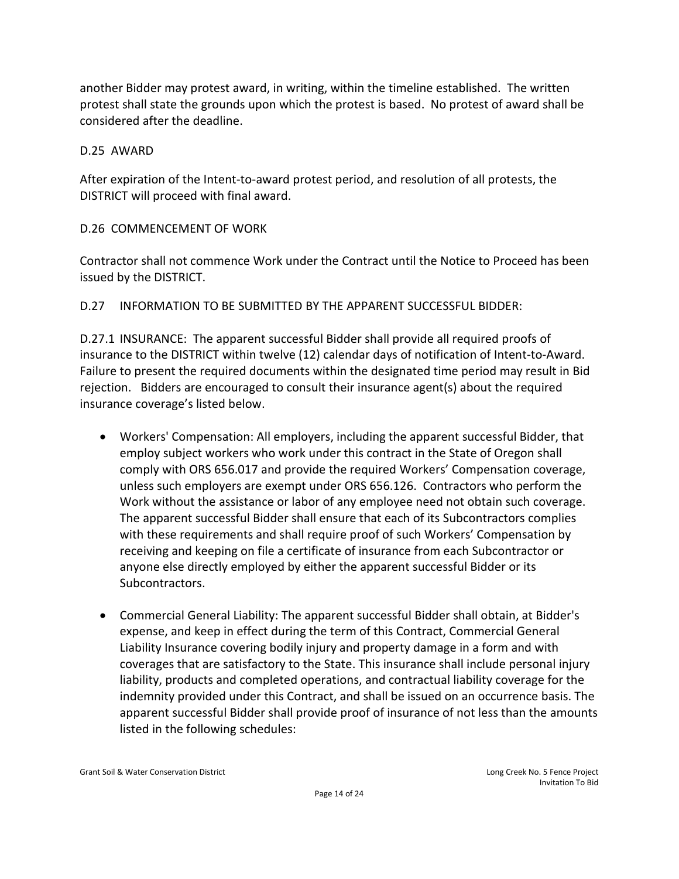another Bidder may protest award, in writing, within the timeline established. The written protest shall state the grounds upon which the protest is based. No protest of award shall be considered after the deadline.

#### D.25 AWARD

After expiration of the Intent-to-award protest period, and resolution of all protests, the DISTRICT will proceed with final award.

## D.26 COMMENCEMENT OF WORK

Contractor shall not commence Work under the Contract until the Notice to Proceed has been issued by the DISTRICT.

#### D.27 INFORMATION TO BE SUBMITTED BY THE APPARENT SUCCESSFUL BIDDER:

D.27.1 INSURANCE: The apparent successful Bidder shall provide all required proofs of insurance to the DISTRICT within twelve (12) calendar days of notification of Intent-to-Award. Failure to present the required documents within the designated time period may result in Bid rejection. Bidders are encouraged to consult their insurance agent(s) about the required insurance coverage's listed below.

- Workers' Compensation: All employers, including the apparent successful Bidder, that employ subject workers who work under this contract in the State of Oregon shall comply with ORS 656.017 and provide the required Workers' Compensation coverage, unless such employers are exempt under ORS 656.126. Contractors who perform the Work without the assistance or labor of any employee need not obtain such coverage. The apparent successful Bidder shall ensure that each of its Subcontractors complies with these requirements and shall require proof of such Workers' Compensation by receiving and keeping on file a certificate of insurance from each Subcontractor or anyone else directly employed by either the apparent successful Bidder or its Subcontractors.
- Commercial General Liability: The apparent successful Bidder shall obtain, at Bidder's expense, and keep in effect during the term of this Contract, Commercial General Liability Insurance covering bodily injury and property damage in a form and with coverages that are satisfactory to the State. This insurance shall include personal injury liability, products and completed operations, and contractual liability coverage for the indemnity provided under this Contract, and shall be issued on an occurrence basis. The apparent successful Bidder shall provide proof of insurance of not less than the amounts listed in the following schedules: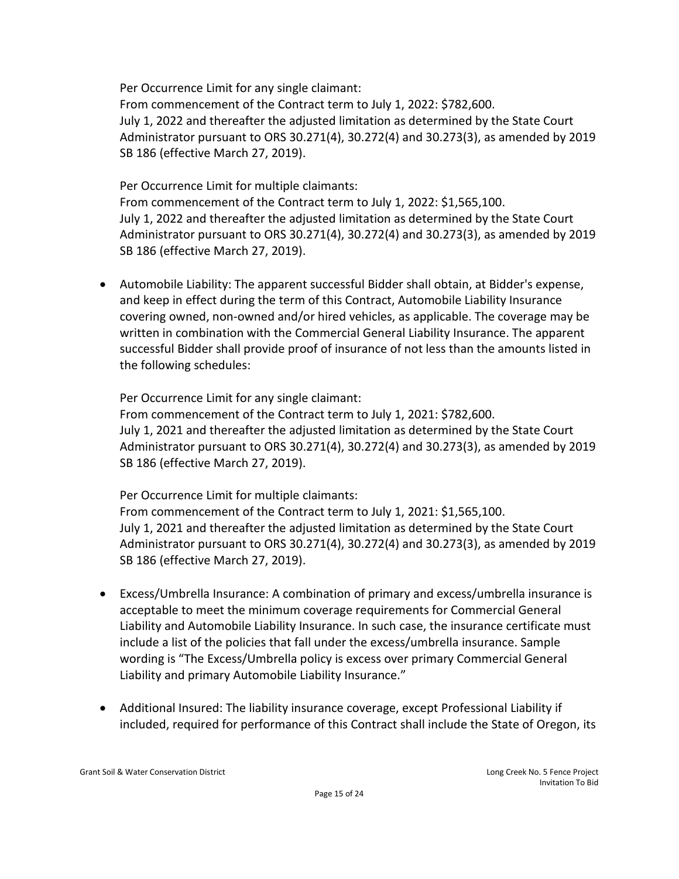Per Occurrence Limit for any single claimant:

From commencement of the Contract term to July 1, 2022: \$782,600. July 1, 2022 and thereafter the adjusted limitation as determined by the State Court Administrator pursuant to ORS 30.271(4), 30.272(4) and 30.273(3), as amended by 2019 SB 186 (effective March 27, 2019).

Per Occurrence Limit for multiple claimants:

From commencement of the Contract term to July 1, 2022: \$1,565,100. July 1, 2022 and thereafter the adjusted limitation as determined by the State Court Administrator pursuant to ORS 30.271(4), 30.272(4) and 30.273(3), as amended by 2019 SB 186 (effective March 27, 2019).

• Automobile Liability: The apparent successful Bidder shall obtain, at Bidder's expense, and keep in effect during the term of this Contract, Automobile Liability Insurance covering owned, non-owned and/or hired vehicles, as applicable. The coverage may be written in combination with the Commercial General Liability Insurance. The apparent successful Bidder shall provide proof of insurance of not less than the amounts listed in the following schedules:

Per Occurrence Limit for any single claimant:

From commencement of the Contract term to July 1, 2021: \$782,600. July 1, 2021 and thereafter the adjusted limitation as determined by the State Court Administrator pursuant to ORS 30.271(4), 30.272(4) and 30.273(3), as amended by 2019 SB 186 (effective March 27, 2019).

Per Occurrence Limit for multiple claimants:

From commencement of the Contract term to July 1, 2021: \$1,565,100. July 1, 2021 and thereafter the adjusted limitation as determined by the State Court Administrator pursuant to ORS 30.271(4), 30.272(4) and 30.273(3), as amended by 2019 SB 186 (effective March 27, 2019).

- Excess/Umbrella Insurance: A combination of primary and excess/umbrella insurance is acceptable to meet the minimum coverage requirements for Commercial General Liability and Automobile Liability Insurance. In such case, the insurance certificate must include a list of the policies that fall under the excess/umbrella insurance. Sample wording is "The Excess/Umbrella policy is excess over primary Commercial General Liability and primary Automobile Liability Insurance."
- Additional Insured: The liability insurance coverage, except Professional Liability if included, required for performance of this Contract shall include the State of Oregon, its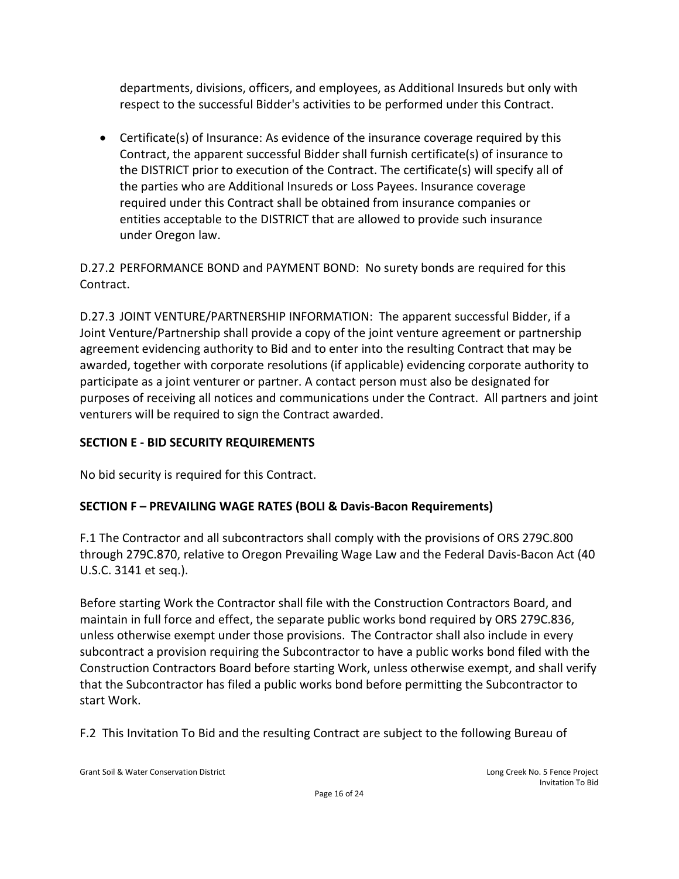departments, divisions, officers, and employees, as Additional Insureds but only with respect to the successful Bidder's activities to be performed under this Contract.

• Certificate(s) of Insurance: As evidence of the insurance coverage required by this Contract, the apparent successful Bidder shall furnish certificate(s) of insurance to the DISTRICT prior to execution of the Contract. The certificate(s) will specify all of the parties who are Additional Insureds or Loss Payees. Insurance coverage required under this Contract shall be obtained from insurance companies or entities acceptable to the DISTRICT that are allowed to provide such insurance under Oregon law.

D.27.2 PERFORMANCE BOND and PAYMENT BOND: No surety bonds are required for this Contract.

D.27.3 JOINT VENTURE/PARTNERSHIP INFORMATION: The apparent successful Bidder, if a Joint Venture/Partnership shall provide a copy of the joint venture agreement or partnership agreement evidencing authority to Bid and to enter into the resulting Contract that may be awarded, together with corporate resolutions (if applicable) evidencing corporate authority to participate as a joint venturer or partner. A contact person must also be designated for purposes of receiving all notices and communications under the Contract. All partners and joint venturers will be required to sign the Contract awarded.

# **SECTION E - BID SECURITY REQUIREMENTS**

No bid security is required for this Contract.

# **SECTION F – PREVAILING WAGE RATES (BOLI & Davis-Bacon Requirements)**

F.1 The Contractor and all subcontractors shall comply with the provisions of ORS 279C.800 through 279C.870, relative to Oregon Prevailing Wage Law and the Federal Davis-Bacon Act (40 U.S.C. 3141 et seq.).

Before starting Work the Contractor shall file with the Construction Contractors Board, and maintain in full force and effect, the separate public works bond required by ORS 279C.836, unless otherwise exempt under those provisions. The Contractor shall also include in every subcontract a provision requiring the Subcontractor to have a public works bond filed with the Construction Contractors Board before starting Work, unless otherwise exempt, and shall verify that the Subcontractor has filed a public works bond before permitting the Subcontractor to start Work.

F.2 This Invitation To Bid and the resulting Contract are subject to the following Bureau of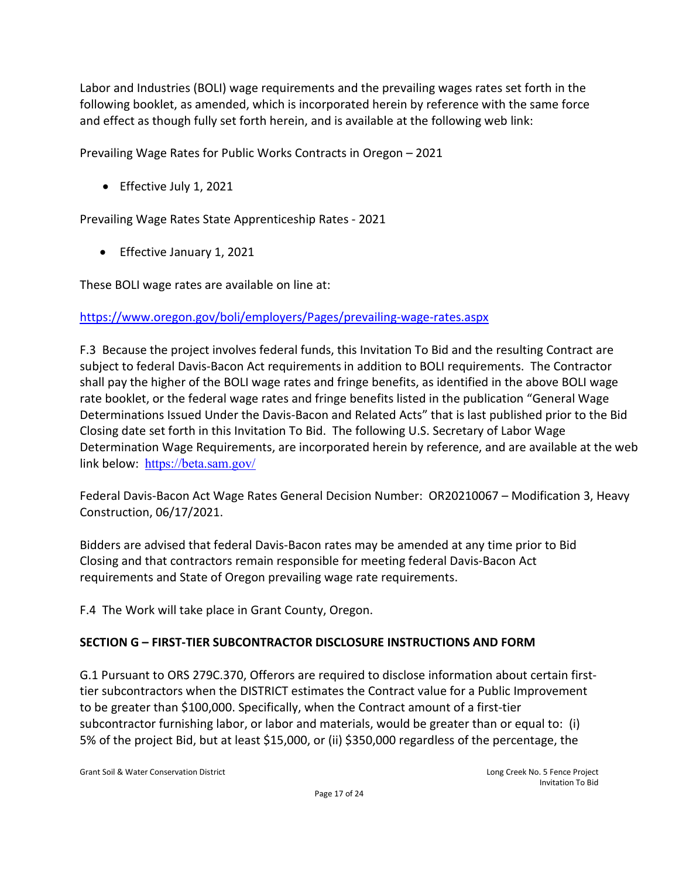Labor and Industries (BOLI) wage requirements and the prevailing wages rates set forth in the following booklet, as amended, which is incorporated herein by reference with the same force and effect as though fully set forth herein, and is available at the following web link:

Prevailing Wage Rates for Public Works Contracts in Oregon – 2021

• Effective July 1, 2021

Prevailing Wage Rates State Apprenticeship Rates - 2021

• Effective January 1, 2021

These BOLI wage rates are available on line at:

# <https://www.oregon.gov/boli/employers/Pages/prevailing-wage-rates.aspx>

F.3 Because the project involves federal funds, this Invitation To Bid and the resulting Contract are subject to federal Davis-Bacon Act requirements in addition to BOLI requirements. The Contractor shall pay the higher of the BOLI wage rates and fringe benefits, as identified in the above BOLI wage rate booklet, or the federal wage rates and fringe benefits listed in the publication "General Wage Determinations Issued Under the Davis-Bacon and Related Acts" that is last published prior to the Bid Closing date set forth in this Invitation To Bid. The following U.S. Secretary of Labor Wage Determination Wage Requirements, are incorporated herein by reference, and are available at the web link below: <https://beta.sam.gov/>

Federal Davis-Bacon Act Wage Rates General Decision Number: OR20210067 – Modification 3, Heavy Construction, 06/17/2021.

Bidders are advised that federal Davis-Bacon rates may be amended at any time prior to Bid Closing and that contractors remain responsible for meeting federal Davis-Bacon Act requirements and State of Oregon prevailing wage rate requirements.

F.4 The Work will take place in Grant County, Oregon.

# **SECTION G – FIRST-TIER SUBCONTRACTOR DISCLOSURE INSTRUCTIONS AND FORM**

G.1 Pursuant to ORS 279C.370, Offerors are required to disclose information about certain firsttier subcontractors when the DISTRICT estimates the Contract value for a Public Improvement to be greater than \$100,000. Specifically, when the Contract amount of a first-tier subcontractor furnishing labor, or labor and materials, would be greater than or equal to: (i) 5% of the project Bid, but at least \$15,000, or (ii) \$350,000 regardless of the percentage, the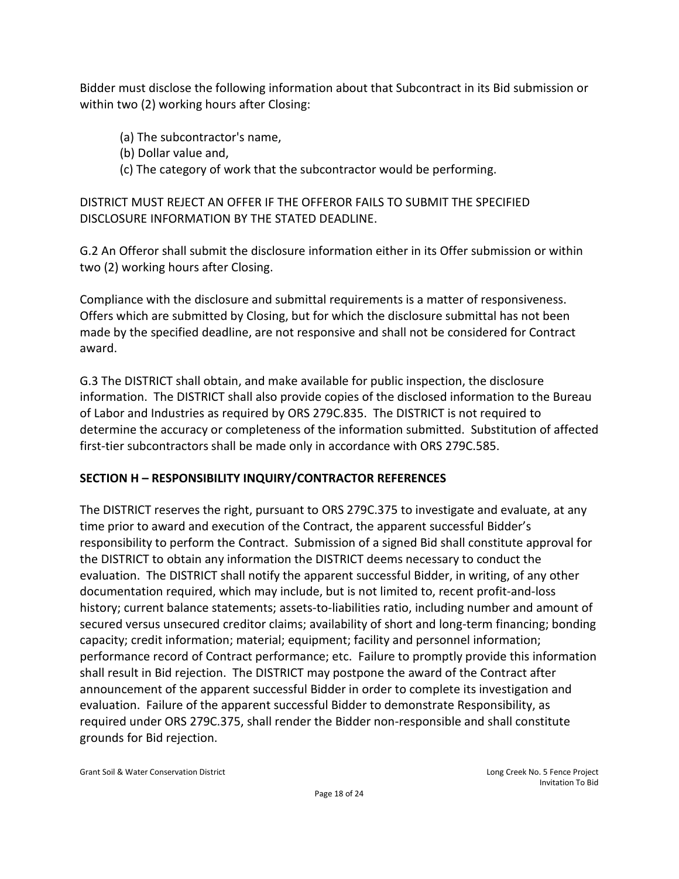Bidder must disclose the following information about that Subcontract in its Bid submission or within two (2) working hours after Closing:

- (a) The subcontractor's name,
- (b) Dollar value and,
- (c) The category of work that the subcontractor would be performing.

DISTRICT MUST REJECT AN OFFER IF THE OFFEROR FAILS TO SUBMIT THE SPECIFIED DISCLOSURE INFORMATION BY THE STATED DEADLINE.

G.2 An Offeror shall submit the disclosure information either in its Offer submission or within two (2) working hours after Closing.

Compliance with the disclosure and submittal requirements is a matter of responsiveness. Offers which are submitted by Closing, but for which the disclosure submittal has not been made by the specified deadline, are not responsive and shall not be considered for Contract award.

G.3 The DISTRICT shall obtain, and make available for public inspection, the disclosure information. The DISTRICT shall also provide copies of the disclosed information to the Bureau of Labor and Industries as required by ORS 279C.835. The DISTRICT is not required to determine the accuracy or completeness of the information submitted. Substitution of affected first-tier subcontractors shall be made only in accordance with ORS 279C.585.

## **SECTION H – RESPONSIBILITY INQUIRY/CONTRACTOR REFERENCES**

The DISTRICT reserves the right, pursuant to ORS 279C.375 to investigate and evaluate, at any time prior to award and execution of the Contract, the apparent successful Bidder's responsibility to perform the Contract. Submission of a signed Bid shall constitute approval for the DISTRICT to obtain any information the DISTRICT deems necessary to conduct the evaluation. The DISTRICT shall notify the apparent successful Bidder, in writing, of any other documentation required, which may include, but is not limited to, recent profit-and-loss history; current balance statements; assets-to-liabilities ratio, including number and amount of secured versus unsecured creditor claims; availability of short and long-term financing; bonding capacity; credit information; material; equipment; facility and personnel information; performance record of Contract performance; etc. Failure to promptly provide this information shall result in Bid rejection. The DISTRICT may postpone the award of the Contract after announcement of the apparent successful Bidder in order to complete its investigation and evaluation. Failure of the apparent successful Bidder to demonstrate Responsibility, as required under ORS 279C.375, shall render the Bidder non-responsible and shall constitute grounds for Bid rejection.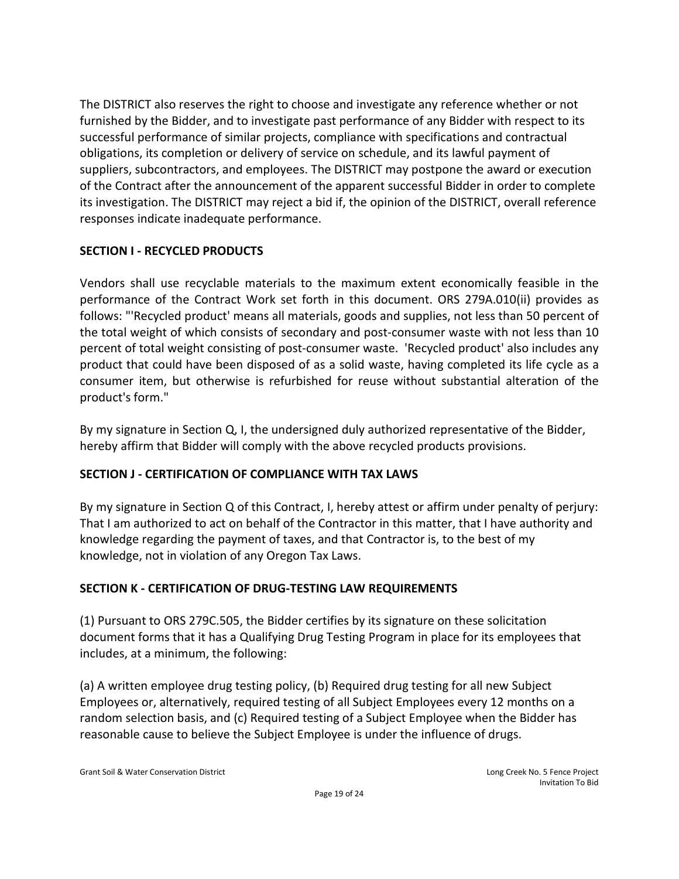The DISTRICT also reserves the right to choose and investigate any reference whether or not furnished by the Bidder, and to investigate past performance of any Bidder with respect to its successful performance of similar projects, compliance with specifications and contractual obligations, its completion or delivery of service on schedule, and its lawful payment of suppliers, subcontractors, and employees. The DISTRICT may postpone the award or execution of the Contract after the announcement of the apparent successful Bidder in order to complete its investigation. The DISTRICT may reject a bid if, the opinion of the DISTRICT, overall reference responses indicate inadequate performance.

# **SECTION I - RECYCLED PRODUCTS**

Vendors shall use recyclable materials to the maximum extent economically feasible in the performance of the Contract Work set forth in this document. ORS 279A.010(ii) provides as follows: "'Recycled product' means all materials, goods and supplies, not less than 50 percent of the total weight of which consists of secondary and post-consumer waste with not less than 10 percent of total weight consisting of post-consumer waste. 'Recycled product' also includes any product that could have been disposed of as a solid waste, having completed its life cycle as a consumer item, but otherwise is refurbished for reuse without substantial alteration of the product's form."

By my signature in Section Q, I, the undersigned duly authorized representative of the Bidder, hereby affirm that Bidder will comply with the above recycled products provisions.

# **SECTION J - CERTIFICATION OF COMPLIANCE WITH TAX LAWS**

By my signature in Section Q of this Contract, I, hereby attest or affirm under penalty of perjury: That I am authorized to act on behalf of the Contractor in this matter, that I have authority and knowledge regarding the payment of taxes, and that Contractor is, to the best of my knowledge, not in violation of any Oregon Tax Laws.

# **SECTION K - CERTIFICATION OF DRUG-TESTING LAW REQUIREMENTS**

(1) Pursuant to ORS 279C.505, the Bidder certifies by its signature on these solicitation document forms that it has a Qualifying Drug Testing Program in place for its employees that includes, at a minimum, the following:

(a) A written employee drug testing policy, (b) Required drug testing for all new Subject Employees or, alternatively, required testing of all Subject Employees every 12 months on a random selection basis, and (c) Required testing of a Subject Employee when the Bidder has reasonable cause to believe the Subject Employee is under the influence of drugs.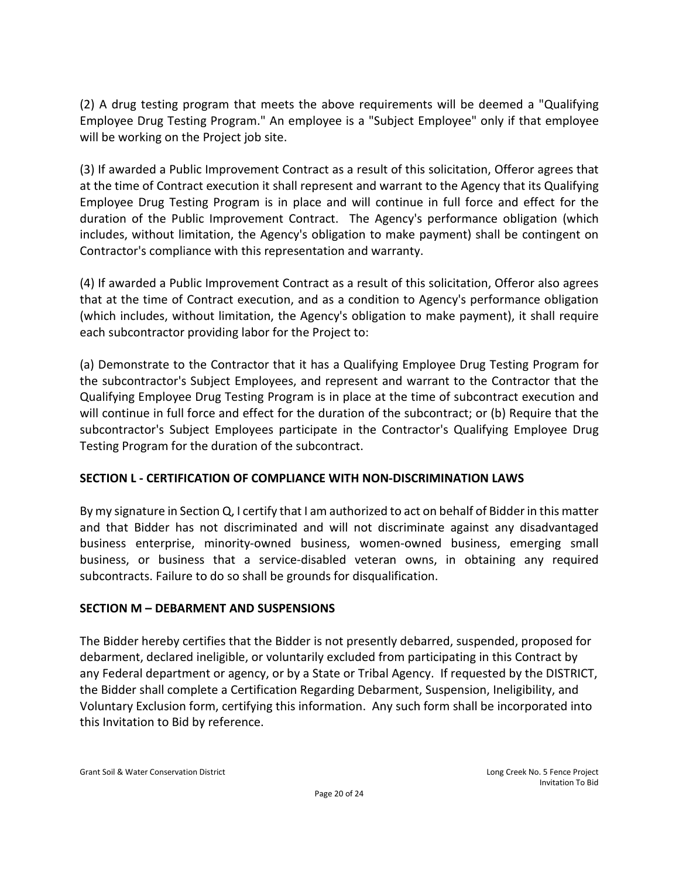(2) A drug testing program that meets the above requirements will be deemed a "Qualifying Employee Drug Testing Program." An employee is a "Subject Employee" only if that employee will be working on the Project job site.

(3) If awarded a Public Improvement Contract as a result of this solicitation, Offeror agrees that at the time of Contract execution it shall represent and warrant to the Agency that its Qualifying Employee Drug Testing Program is in place and will continue in full force and effect for the duration of the Public Improvement Contract. The Agency's performance obligation (which includes, without limitation, the Agency's obligation to make payment) shall be contingent on Contractor's compliance with this representation and warranty.

(4) If awarded a Public Improvement Contract as a result of this solicitation, Offeror also agrees that at the time of Contract execution, and as a condition to Agency's performance obligation (which includes, without limitation, the Agency's obligation to make payment), it shall require each subcontractor providing labor for the Project to:

(a) Demonstrate to the Contractor that it has a Qualifying Employee Drug Testing Program for the subcontractor's Subject Employees, and represent and warrant to the Contractor that the Qualifying Employee Drug Testing Program is in place at the time of subcontract execution and will continue in full force and effect for the duration of the subcontract; or (b) Require that the subcontractor's Subject Employees participate in the Contractor's Qualifying Employee Drug Testing Program for the duration of the subcontract.

## **SECTION L - CERTIFICATION OF COMPLIANCE WITH NON-DISCRIMINATION LAWS**

By my signature in Section Q, I certify that I am authorized to act on behalf of Bidder in this matter and that Bidder has not discriminated and will not discriminate against any disadvantaged business enterprise, minority-owned business, women-owned business, emerging small business, or business that a service-disabled veteran owns, in obtaining any required subcontracts. Failure to do so shall be grounds for disqualification.

## **SECTION M – DEBARMENT AND SUSPENSIONS**

The Bidder hereby certifies that the Bidder is not presently debarred, suspended, proposed for debarment, declared ineligible, or voluntarily excluded from participating in this Contract by any Federal department or agency, or by a State or Tribal Agency. If requested by the DISTRICT, the Bidder shall complete a Certification Regarding Debarment, Suspension, Ineligibility, and Voluntary Exclusion form, certifying this information. Any such form shall be incorporated into this Invitation to Bid by reference.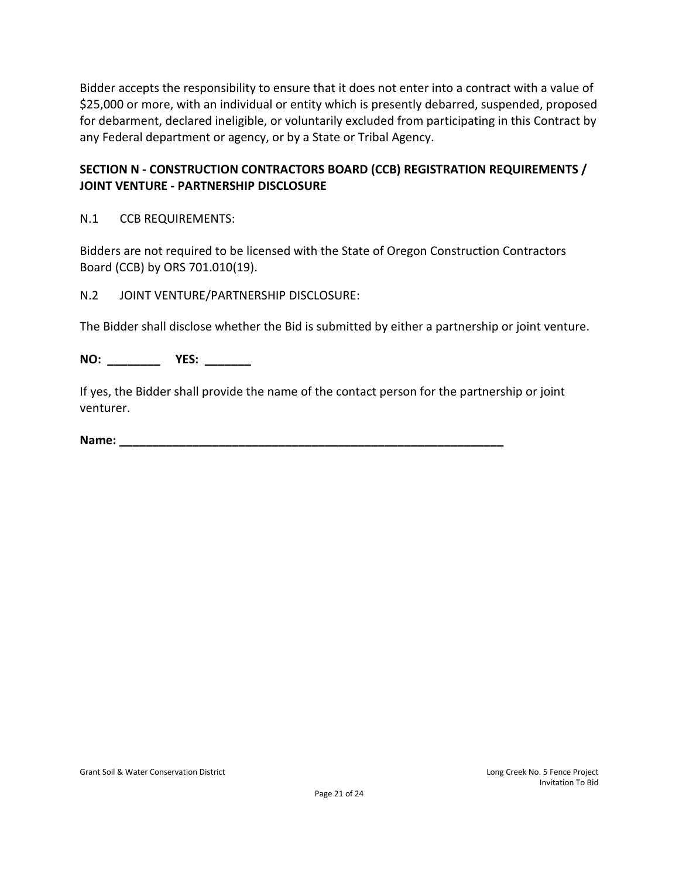Bidder accepts the responsibility to ensure that it does not enter into a contract with a value of \$25,000 or more, with an individual or entity which is presently debarred, suspended, proposed for debarment, declared ineligible, or voluntarily excluded from participating in this Contract by any Federal department or agency, or by a State or Tribal Agency.

## **SECTION N - CONSTRUCTION CONTRACTORS BOARD (CCB) REGISTRATION REQUIREMENTS / JOINT VENTURE - PARTNERSHIP DISCLOSURE**

N.1 CCB REQUIREMENTS:

Bidders are not required to be licensed with the State of Oregon Construction Contractors Board (CCB) by ORS 701.010(19).

N.2 JOINT VENTURE/PARTNERSHIP DISCLOSURE:

The Bidder shall disclose whether the Bid is submitted by either a partnership or joint venture.

**NO: \_\_\_\_\_\_\_\_ YES: \_\_\_\_\_\_\_**

If yes, the Bidder shall provide the name of the contact person for the partnership or joint venturer.

**Name: \_\_\_\_\_\_\_\_\_\_\_\_\_\_\_\_\_\_\_\_\_\_\_\_\_\_\_\_\_\_\_\_\_\_\_\_\_\_\_\_\_\_\_\_\_\_\_\_\_\_\_\_\_\_\_\_\_\_**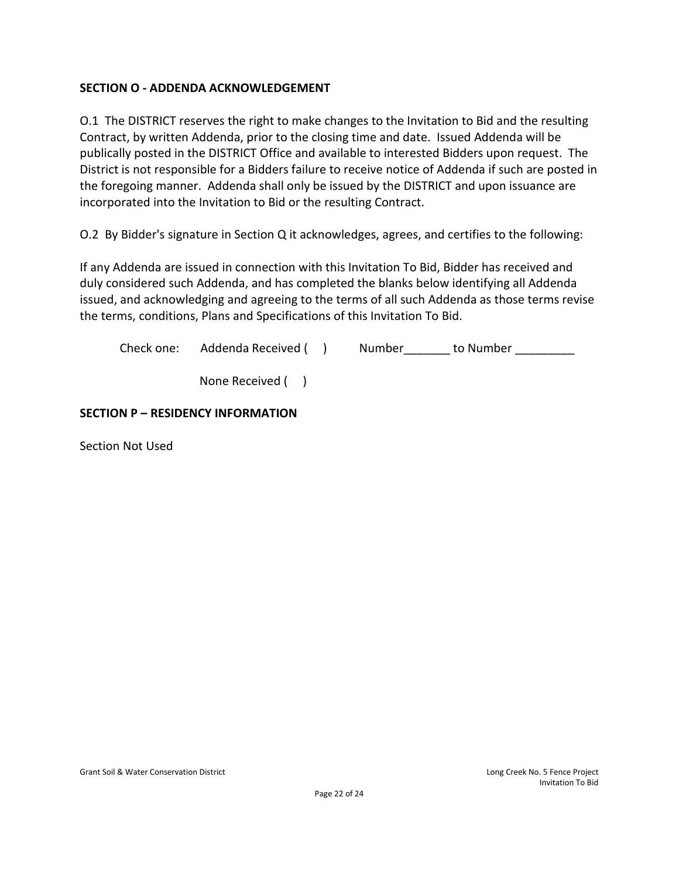## **SECTION O - ADDENDA ACKNOWLEDGEMENT**

O.1 The DISTRICT reserves the right to make changes to the Invitation to Bid and the resulting Contract, by written Addenda, prior to the closing time and date. Issued Addenda will be publically posted in the DISTRICT Office and available to interested Bidders upon request. The District is not responsible for a Bidders failure to receive notice of Addenda if such are posted in the foregoing manner. Addenda shall only be issued by the DISTRICT and upon issuance are incorporated into the Invitation to Bid or the resulting Contract.

O.2 By Bidder's signature in Section Q it acknowledges, agrees, and certifies to the following:

If any Addenda are issued in connection with this Invitation To Bid, Bidder has received and duly considered such Addenda, and has completed the blanks below identifying all Addenda issued, and acknowledging and agreeing to the terms of all such Addenda as those terms revise the terms, conditions, Plans and Specifications of this Invitation To Bid.

Check one: Addenda Received ( ) Number \_\_\_\_\_\_\_ to Number \_\_\_\_\_\_\_\_

None Received ( )

#### **SECTION P – RESIDENCY INFORMATION**

Section Not Used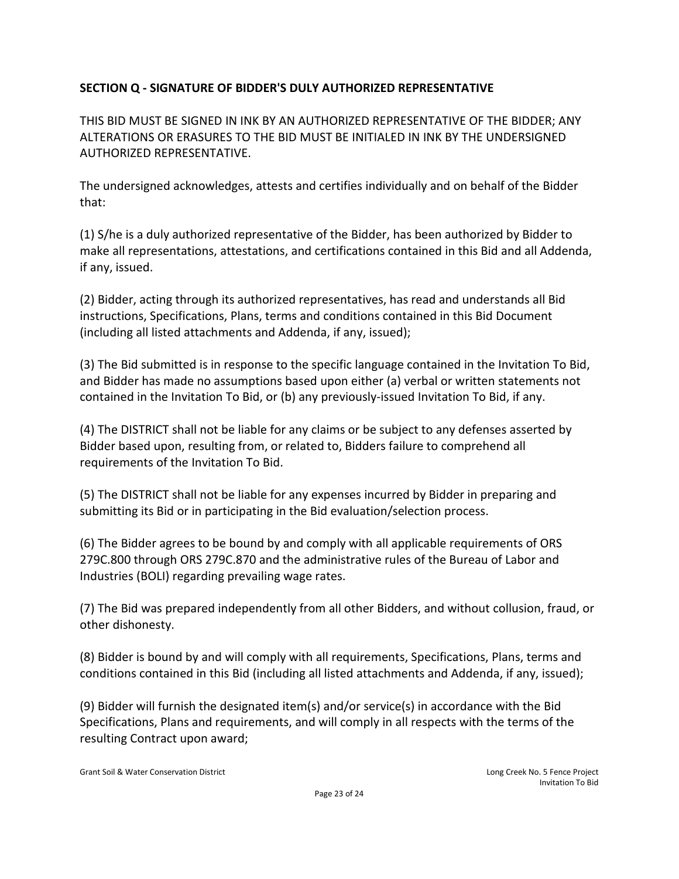# **SECTION Q - SIGNATURE OF BIDDER'S DULY AUTHORIZED REPRESENTATIVE**

THIS BID MUST BE SIGNED IN INK BY AN AUTHORIZED REPRESENTATIVE OF THE BIDDER; ANY ALTERATIONS OR ERASURES TO THE BID MUST BE INITIALED IN INK BY THE UNDERSIGNED AUTHORIZED REPRESENTATIVE.

The undersigned acknowledges, attests and certifies individually and on behalf of the Bidder that:

(1) S/he is a duly authorized representative of the Bidder, has been authorized by Bidder to make all representations, attestations, and certifications contained in this Bid and all Addenda, if any, issued.

(2) Bidder, acting through its authorized representatives, has read and understands all Bid instructions, Specifications, Plans, terms and conditions contained in this Bid Document (including all listed attachments and Addenda, if any, issued);

(3) The Bid submitted is in response to the specific language contained in the Invitation To Bid, and Bidder has made no assumptions based upon either (a) verbal or written statements not contained in the Invitation To Bid, or (b) any previously-issued Invitation To Bid, if any.

(4) The DISTRICT shall not be liable for any claims or be subject to any defenses asserted by Bidder based upon, resulting from, or related to, Bidders failure to comprehend all requirements of the Invitation To Bid.

(5) The DISTRICT shall not be liable for any expenses incurred by Bidder in preparing and submitting its Bid or in participating in the Bid evaluation/selection process.

(6) The Bidder agrees to be bound by and comply with all applicable requirements of ORS 279C.800 through ORS 279C.870 and the administrative rules of the Bureau of Labor and Industries (BOLI) regarding prevailing wage rates.

(7) The Bid was prepared independently from all other Bidders, and without collusion, fraud, or other dishonesty.

(8) Bidder is bound by and will comply with all requirements, Specifications, Plans, terms and conditions contained in this Bid (including all listed attachments and Addenda, if any, issued);

(9) Bidder will furnish the designated item(s) and/or service(s) in accordance with the Bid Specifications, Plans and requirements, and will comply in all respects with the terms of the resulting Contract upon award;